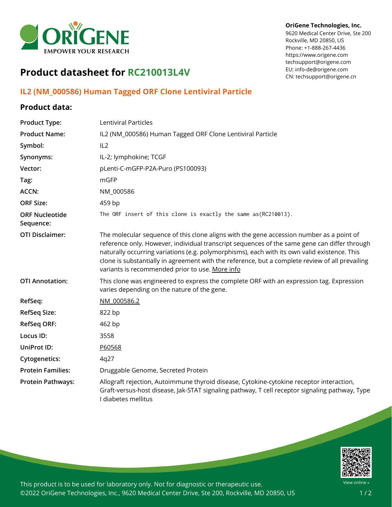

## **Product datasheet for RC210013L4V**

## **IL2 (NM\_000586) Human Tagged ORF Clone Lentiviral Particle**

## **Product data:**

| <b>Product Type:</b>               | Lentiviral Particles                                                                                                                                                                                                                                                                                                                                                                                                                           |
|------------------------------------|------------------------------------------------------------------------------------------------------------------------------------------------------------------------------------------------------------------------------------------------------------------------------------------------------------------------------------------------------------------------------------------------------------------------------------------------|
| <b>Product Name:</b>               | IL2 (NM_000586) Human Tagged ORF Clone Lentiviral Particle                                                                                                                                                                                                                                                                                                                                                                                     |
| Symbol:                            | IL2                                                                                                                                                                                                                                                                                                                                                                                                                                            |
| Synonyms:                          | IL-2; lymphokine; TCGF                                                                                                                                                                                                                                                                                                                                                                                                                         |
| Vector:                            | pLenti-C-mGFP-P2A-Puro (PS100093)                                                                                                                                                                                                                                                                                                                                                                                                              |
| Tag:                               | mGFP                                                                                                                                                                                                                                                                                                                                                                                                                                           |
| <b>ACCN:</b>                       | NM_000586                                                                                                                                                                                                                                                                                                                                                                                                                                      |
| <b>ORF Size:</b>                   | 459 bp                                                                                                                                                                                                                                                                                                                                                                                                                                         |
| <b>ORF Nucleotide</b><br>Sequence: | The ORF insert of this clone is exactly the same as(RC210013).                                                                                                                                                                                                                                                                                                                                                                                 |
| <b>OTI Disclaimer:</b>             | The molecular sequence of this clone aligns with the gene accession number as a point of<br>reference only. However, individual transcript sequences of the same gene can differ through<br>naturally occurring variations (e.g. polymorphisms), each with its own valid existence. This<br>clone is substantially in agreement with the reference, but a complete review of all prevailing<br>variants is recommended prior to use. More info |
| <b>OTI Annotation:</b>             | This clone was engineered to express the complete ORF with an expression tag. Expression<br>varies depending on the nature of the gene.                                                                                                                                                                                                                                                                                                        |
| RefSeq:                            | NM 000586.2                                                                                                                                                                                                                                                                                                                                                                                                                                    |
| <b>RefSeq Size:</b>                | 822 bp                                                                                                                                                                                                                                                                                                                                                                                                                                         |
| <b>RefSeq ORF:</b>                 | 462 bp                                                                                                                                                                                                                                                                                                                                                                                                                                         |
| Locus ID:                          | 3558                                                                                                                                                                                                                                                                                                                                                                                                                                           |
| UniProt ID:                        | P60568                                                                                                                                                                                                                                                                                                                                                                                                                                         |
| <b>Cytogenetics:</b>               | 4q27                                                                                                                                                                                                                                                                                                                                                                                                                                           |
| <b>Protein Families:</b>           | Druggable Genome, Secreted Protein                                                                                                                                                                                                                                                                                                                                                                                                             |
| <b>Protein Pathways:</b>           | Allograft rejection, Autoimmune thyroid disease, Cytokine-cytokine receptor interaction,<br>Graft-versus-host disease, Jak-STAT signaling pathway, T cell receptor signaling pathway, Type<br>I diabetes mellitus                                                                                                                                                                                                                              |



This product is to be used for laboratory only. Not for diagnostic or therapeutic use. ©2022 OriGene Technologies, Inc., 9620 Medical Center Drive, Ste 200, Rockville, MD 20850, US

## **OriGene Technologies, Inc.**

9620 Medical Center Drive, Ste 200 Rockville, MD 20850, US Phone: +1-888-267-4436 https://www.origene.com techsupport@origene.com EU: info-de@origene.com CN: techsupport@origene.cn